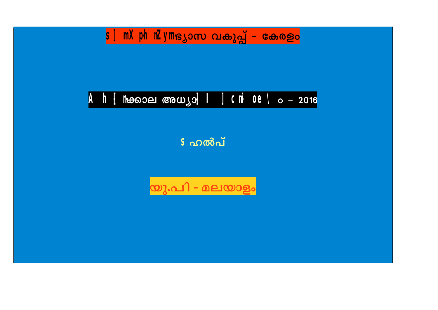## S] MXphnZyme ൃാസ വകുപ്പ് - കേരളം

# Ah-[ han old man yo] | 3 Chi 0e \o - 2016

**ടഹൽപ്** 

യു.പി - മലയാളം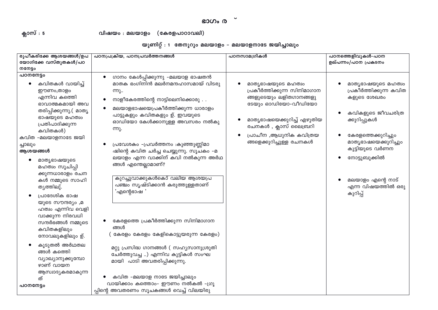### ഭാഗം ര<sup>്</sup>

ക്ലാസ് : 5

വിഷയം : മലയാളം (കേരളപാഠാവലി)

|  |  |  | യൂണിറ്റ് : 1  തേനൂറും മലയാളം - മലയാളനാടേ ജയിച്ചാലും |  |
|--|--|--|-----------------------------------------------------|--|
|--|--|--|-----------------------------------------------------|--|

| രൂപീകരിക്കേ ആശയങ്ങൾ/ഉപ                                                                                                                                                                                                                                                                                                 | പഠനപ്രക്രിയ, പഠനപ്രവർത്തനങ്ങൾ                                                                                                                                                                                                                                                                                                                                                                                                                                                                                 | പഠനസാമഗ്രികൾ                                                                                                                                                                                                      | പഠനത്തെളിവുകൾ-പഠന                                                                                                                                                                                                               |
|------------------------------------------------------------------------------------------------------------------------------------------------------------------------------------------------------------------------------------------------------------------------------------------------------------------------|---------------------------------------------------------------------------------------------------------------------------------------------------------------------------------------------------------------------------------------------------------------------------------------------------------------------------------------------------------------------------------------------------------------------------------------------------------------------------------------------------------------|-------------------------------------------------------------------------------------------------------------------------------------------------------------------------------------------------------------------|---------------------------------------------------------------------------------------------------------------------------------------------------------------------------------------------------------------------------------|
| യോഗിക്കേ വസ്തുതകൾ/പഠ                                                                                                                                                                                                                                                                                                   |                                                                                                                                                                                                                                                                                                                                                                                                                                                                                                               |                                                                                                                                                                                                                   | ഉല്പന്നം/പഠന പ്രകടനം                                                                                                                                                                                                            |
| ოოვი                                                                                                                                                                                                                                                                                                                   |                                                                                                                                                                                                                                                                                                                                                                                                                                                                                                               |                                                                                                                                                                                                                   |                                                                                                                                                                                                                                 |
| പഠനനേട്ടം<br>കവിതകൾ വായിച്ച്<br>$\bullet$<br>ഈണം,താളം<br>എന്നിവ കത്തിെ<br>ഭാവാത്മകമായി അവ<br>തരിപ്പിക്കുന്നു.( മാതൃ<br>ഭാഷയുടെ മഹത്വം<br>പ്രതിപാദിക്കുന്ന<br>കവിതകൾ)<br>കവിത -മലയാളനാടേ ജയി<br>ച്ചാലും<br>ആശയങ്ങൾ<br>മാതൃഭാഷയുടെ<br>$\bullet$<br>മഹത്വം സൂചിപ്പി<br>ക്കുന്നധാരാളം രചന<br>കൾ നമ്മുടെ സാഹി<br>തൃത്തിലു്. | ഗാനം കേൾപ്പിക്കുന്നു –മലയാള ഭാഷതൻ<br>$\bullet$<br>മാതക ഭംഗിനിൻ മലർനമന്ദഹാസമായ് വിടരു<br>ന്നു<br>നാളീകേരത്തിന്റെ നാട്ടിലെനിക്കൊരു<br>$\bullet$<br>മലയാളഭാഷയെപ്രകീർത്തിക്കുന്ന ധാരാളം<br>പാട്ടുകളും കവിതകളും ഉ്. ഇവയുടെ<br>ഓഡിയോ കേൾക്കാനുള്ള അവസരം നൽകു<br>m <sub>2</sub> .<br>പ്രവേശകം -പ്രവർത്തനം :കുഞ്ഞുണ്ണിമാ<br>ഷിന്റെ കവിത ചർച്ച ചെയ്യുന്നു. സൂചകം -മ<br>ലയാളം എന്ന വാക്കിന് കവി നൽകുന്ന അർഥ<br>ങ്ങൾ എന്തെല്ലാമാണ്?<br>കുറച്ചുവാക്കുകൾകൊ് വലിയ ആശയപ്ര<br>പഞ്ചം സൃഷ്ടിക്കാൻ കരുത്തുള്ളതാണ്<br>'എന്റെഭാഷ ' | മാതൃഭാഷയുടെ മഹത്വം<br>പ്രകീർത്തിക്കുന്ന സിനിമാഗാന<br>ങ്ങളുടെയും ലളിതഗാനങ്ങളു<br>ടേയും ഓഡിയോ-വീഡിയോ<br>മാതൃഭാഷയെക്കുറിച്ച് എഴുതിയ<br>രചനകൾ , ക്ലാസ് ലൈബ്രറി<br>പ്രാചീന ,ആധുനിക കവിത്രയ<br>ങ്ങളെക്കുറിച്ചുള്ള രചനകൾ | മാതൃഭാഷയുടെ മഹത്വം<br>പ്രകീർത്തിക്കുന്ന കവിത<br>കളുടെ ശേഖരം<br>കവികളുടെ ജീവചരിത്ര<br>ക്കുറിപ്പുകൾ<br>കേരളത്തെക്കുറിച്ചും<br>മാതൃഭാഷയെക്കുറിച്ചും<br>കുട്ടിയുടെ വർണന<br>നോട്ടുബുക്കിൽ<br>മലയാളം എന്റെ നാട്<br>എന്ന വിഷയത്തിൽ ഒരു |
| പ്രാദേശിക ഭാഷ<br>യുടെ സൗന്ദര്യം ,മ<br>ഹത്വം എന്നിവ വെളി<br>വാക്കുന്ന നിരവധി<br>സന്ദർഭങ്ങൾ നമ്മുടെ<br>കവിതകളിലും<br>നോവലുകളിലും ഉ്.<br>കൂടുതൽ അർഥതല<br>ങ്ങൾ കത്തെി<br>വ്യാഖ്യാനുക്കുമ്പോ<br>ഴാണ് വായന<br>ആസ്വാദ്യകരമാകുന്ന<br>ത്<br>പഠനനേട്ടം                                                                           | കേരളത്തെ പ്രകീർത്തിക്കുന്ന സിനിമാഗാന<br>ങ്ങൾ<br>കേരളം കേരളം കേളികൊട്ടുയരുന്ന കേരളം)<br>മറ്റു പ്രസിദ്ധ ഗാനങ്ങൾ ( സഹൃസാനുശ്രുതി<br>ചേർത്തുവച്ച ) എന്നിവ കുട്ടികൾ സംഘ<br>മായി പാടി അവതരിപ്പിക്കുന്നു.<br>കവിത -മലയാള നാടേ ജയിച്ചാലും<br>വായിക്കാം കത്തൊം- ഈണം നൽകൽ -ഗ്രൂ<br>പ്പിന്റെ അവതരണം സൂചകങ്ങൾ വെച്ച് വിലയിരു                                                                                                                                                                                              |                                                                                                                                                                                                                   | കുറിപ്പ്                                                                                                                                                                                                                        |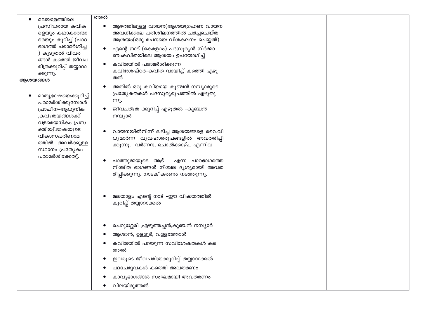|         | മലയാളത്തിലെ                          | ത്തൽ      |                                             |  |
|---------|--------------------------------------|-----------|---------------------------------------------|--|
|         | പ്രസിദ്ധരായ കവിക                     | $\bullet$ | ആഴത്തിലുള്ള വായന(ആശയഗ്രഹണ വായന              |  |
|         | ളെയും കഥാകാരന്മാ                     |           | അവധിക്കാല പരിശീലനത്തിൽ ചർച്ചചെയ്ത           |  |
|         | രെയും കുറിച്ച് (പാഠ                  |           | ആശയം(ഒരു രചനയെ വിശകലനം ചെയ്യൽ)              |  |
|         | ഭാഗത്ത് പരാമർശിച്ച                   | $\bullet$ | എന്റെ നാട് (കേരള <b>ം) പദസൂര്യൻ നിർമ്മാ</b> |  |
|         | ) കൂടുതൽ വിവര                        |           | ണംകവിതയിലെ ആശയം ഉപയോഗിച്ച്                  |  |
|         | ങ്ങൾ കത്തെി ജീവച                     | $\bullet$ | കവിതയിൽ പരാമർശിക്കുന്ന                      |  |
|         | രിത്രക്കുറിപ്പ് തയ്യാറാ<br>ക്കുന്നു. |           | കവിശ്രേഷ്ഠർ–കവിത വായിച്ച് കത്തെി എഴു        |  |
| ആശയങ്ങൾ |                                      |           | തൽ                                          |  |
|         |                                      |           | അതിൽ ഒരു കവിയായ കുഞ്ചൻ നമ്പ്യാരുടെ          |  |
|         | മാതൃഭാഷയെക്കുറിച്ച്                  |           | പ്രത്യേകതകൾ പദസൂര്യരൂപത്തിൽ എഴുതു           |  |
|         | പരാമർശിക്കുമ്പോൾ                     |           | ന്നു.                                       |  |
|         | പ്രാചീന–ആധുനിക                       |           | ജീവചരിത്ര ക്കുറിപ്പ് എഴുതൽ –കുഞ്ചൻ          |  |
|         | ,കവിത്രയങ്ങൾക്ക്                     |           | നമ്പ്യാർ                                    |  |
|         | വളരെയധികം പ്രസ                       |           |                                             |  |
|         | ക്തിയു്.ഭാഷയുടെ                      |           | വായനയിൽനിന്ന് ലഭിച്ച ആശയങ്ങളെ വൈവി          |  |
|         | വികാസപരിണാമ                          |           | ധ്യമാർന്ന വ്യവഹാരരൂപങ്ങളിൽ അവതരിപ്പി        |  |
|         | ത്തിൽ അവർക്കുള്ള                     |           | ക്കുന്നു. വർണന, ചൊൽക്കാഴ്ച എന്നിവ           |  |
|         | സ്ഥാനം പ്രത്യേകം<br>പരാമർശിക്കേതു്.  |           |                                             |  |
|         |                                      |           | പാത്തുമ്മയുടെ ആട്<br>എന്ന പാഠഭാഗത്തെ        |  |
|         |                                      |           | നിശ്ചിത ഭാഗങ്ങൾ നിശ്ചല ദൃശ്യമായി അവത        |  |
|         |                                      |           | രിപ്പിക്കുന്നു. നാടകീകരണം നടത്തുന്നു.       |  |
|         |                                      |           |                                             |  |
|         |                                      |           |                                             |  |
|         |                                      |           | മലയാളം എന്റെ നാട് -ഈ വിഷയത്തിൽ              |  |
|         |                                      |           | കുറിപ്പ് തയ്യാറാക്കൽ                        |  |
|         |                                      |           |                                             |  |
|         |                                      |           | ചെറുശ്ശേരി ,എഴുത്തച്ഛൻ,കുഞ്ചൻ നമ്പ്യാർ      |  |
|         |                                      |           | ആശാൻ, ഉള്ളൂർ, വള്ളത്തോൾ                     |  |
|         |                                      |           | കവിതയിൽ പറയുന്ന സവിശേഷതകൾ കടെ               |  |
|         |                                      |           | ത്തൽ                                        |  |
|         |                                      |           | ഇവരുടെ ജീവചരിത്രക്കുറിപ്പ് തയ്യാറാക്കൽ      |  |
|         |                                      |           | പദചേരുവകൾ കത്തെി അവതരണം                     |  |
|         |                                      |           | കാവ്യഭാഗങ്ങൾ സംഘമായി അവതരണം                 |  |
|         |                                      |           | വിലയിരുത്തൽ                                 |  |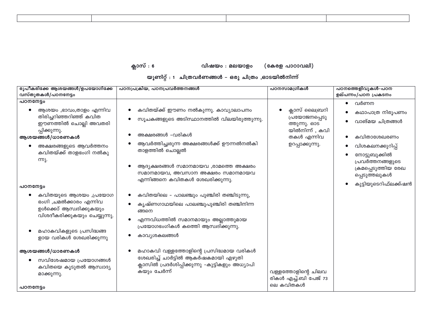| ,我们就会不会不会。""我们,我们就会不会不会,我们就会不会不会,我们就会不会不会。""我们,我们就会不会不会,我们就会不会不会。""我们,我们就会不会不会,我 |  |
|----------------------------------------------------------------------------------|--|
|                                                                                  |  |
|                                                                                  |  |
|                                                                                  |  |
|                                                                                  |  |
|                                                                                  |  |
|                                                                                  |  |

ക്ലാസ് : 6 വിഷയം : മലയാളം (കേരള പാഠാവലി)

യൂണിറ്റ് : 1 ചിത്രവർണങ്ങൾ – ഒരു ചിത്രം ,ഓടയിൽനിന്ന്

| രൂപീകരിക്കേ ആശയങ്ങൾ/ഉപയോഗിക്കേ                                                                                                                                  | പഠനപ്രക്രിയ, പഠനപ്രവർത്തനങ്ങൾ                                                                                                                                                               | പഠനസാമഗ്രികൾ                                                       | പഠനത്തെളിവുകൾ-പഠന                                     |
|-----------------------------------------------------------------------------------------------------------------------------------------------------------------|---------------------------------------------------------------------------------------------------------------------------------------------------------------------------------------------|--------------------------------------------------------------------|-------------------------------------------------------|
| വസ്തുതകൾ/പഠനനേട്ടം                                                                                                                                              |                                                                                                                                                                                             |                                                                    | ഉല്പന്നം/പഠന പ്രകടനം                                  |
| പഠനനേട്ടം                                                                                                                                                       |                                                                                                                                                                                             |                                                                    | വർണന<br>$\bullet$                                     |
| ആശയം ,ഭാവം,താളം എന്നിവ<br>തിരിച്ചറിഞ്ഞറിഞ്ഞ് കവിത<br>ഈണത്തിൽ ചൊല്ലി അവതരി<br>പ്പിക്കുന്നു.                                                                      | കവിതയ്ക്ക് ഈണം നൽകുന്നു. കാവ്യാലാപനം<br>സൂചകങ്ങളുടെ അടിസ്ഥാനത്തിൽ വിലയിരുത്തുന്നു.<br>അക്ഷരങ്ങൾ -വരികൾ                                                                                      | ക്ലാസ് ലൈബ്രറി<br>പ്രയോജനപ്പെടു<br>ത്തുന്നു. ഓട<br>യിൽനിന്ന് , കവി | കഥാപാത്ര നിരൂപണം<br>വാങ്മയ ചിത്രങ്ങൾ                  |
| ആശയങ്ങൾ/ധാരണകൾ                                                                                                                                                  |                                                                                                                                                                                             | തകൾ എന്നിവ                                                         | കവിതാശേഖരണം                                           |
| അക്ഷരങ്ങളുടെ ആവർത്തനം<br>കവിതയ്ക്ക് താളഭംഗി നൽകു<br><u>m)</u> .                                                                                                 | ആവർത്തിച്ചരുന്ന അക്ഷരങ്ങൾക്ക് ഊന്നൽനൽകി<br>താളത്തിൽ ചൊല്ലൽ                                                                                                                                  | ഉറപ്പാക്കുന്നു.                                                    | വിശകലനക്കുറിപ്പ്<br>നോട്ടുബുക്കിൽ<br>പ്രവർത്തനങ്ങളുടെ |
|                                                                                                                                                                 | ആദ്യക്ഷരങ്ങൾ സമാനമായവ ,രാമത്തെ അക്ഷരം<br>സമാനമായവ, അവസാന അക്ഷരം സമാനമായവ<br>എന്നിങ്ങനെ കവിതകൾ ശേഖരിക്കുന്നു.                                                                                |                                                                    | ക്രമപ്പെടുത്തിയ രേഖ<br>പ്പെടുത്തലുകൾ                  |
| പഠനനേട്ടം                                                                                                                                                       |                                                                                                                                                                                             |                                                                    | കുട്ടിയുടെറിഫ്ലക്ക്ഷൻ                                 |
| കവിതയുടെ ആശയം ,പ്രയോഗ<br>ഭംഗി ,ചമൽക്കാരം എന്നിവ<br>ഉൾക്കൊ് ആസ്വദിക്കുകയും<br>വിശദീകരിക്കുകയും ചെയ്യുന്നു.<br>മഹാകവികളുടെ പ്രസിദ്ധങ്ങ<br>ളായ വരികൾ ശേഖരിക്കുന്നു | കവിതയിലെ – പാലഞ്ചും പുഞ്ചിരി തഞ്ചിടുന്നു,<br>കൃഷ്ണഗാഥയിലെ പാലഞ്ചുപുഞ്ചിരി തഞ്ചിനിന്ന<br>ങ്ങനെ<br>എന്നവിധത്തിൽ സമാനമായും അല്ലാത്തുമായ<br>പ്രയോഗഭംഗികൾ കത്തെി ആസ്വദിക്കുന്നു.<br>കാവ്യശകലങ്ങൾ |                                                                    |                                                       |
| ആശയങ്ങൾ/ധാരണകൾ<br>സവിശേഷമായ പ്രയോഗങ്ങൾ<br>കവിതയെ കൂടുതൽ ആസ്വാദ്യ<br>മാക്കുന്നു.<br>പഠനനേട്ടം                                                                    | മഹാകവി വള്ളത്തോളിന്റെ പ്രസിദ്ധമായ വരികൾ<br>ശേഖരിച്ച് ചാർട്ടിൽ ആകർഷകമായി എഴുതി<br>ക്ലാസിൽ പ്രദർശിപ്പിക്കുന്നു –കുട്ടികളും അധ്യാപി<br>കയും ചേർന്ന്                                            | വള്ളത്തോളിന്റെ ചിലവ<br>രികൾ എച്ച്.ബി പേജ് 73<br>ലെ കവിതകൾ          |                                                       |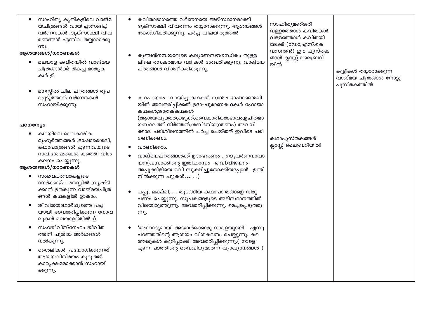| സാഹിത്യ കൃതികളിലെ വാങ്മ<br>യചിത്രങ്ങൾ വായിച്ചാസ്വദിച്ച്<br>വർണനകൾ ,ദൃക്സാക്ഷി വിവ<br>രണങ്ങൾ എന്നിവ തയ്യാറാക്കു<br>ന്നു.<br>ആശയങ്ങൾ/ധാരണകൾ<br>മലയാള കവിതയിൽ വാങ്മയ<br>ചിത്രങ്ങൾക്ക് മികച്ച മാതൃക<br>കൾ ഉ്.                                                                                                                                                                                                                                                                                   | കവിതാഭാഗത്തെ വർണനയെ അടിസ്ഥാനമാക്കി<br>ദൃക്സാക്ഷി വിവരണം തയ്യാറാക്കുന്നു. ആശയങ്ങൾ<br>ക്രോഡീകരിക്കുന്നു. ചർച്ച വിലയിരുത്തൽ<br>കുഞ്ചൻനമ്പയാരുടെ കല്യാണസൗഗന്ധികം തുള്ള<br>ലിലെ രസകരമായ വരികൾ ശേഖരിക്കുന്നു. വാങ്മയ<br>ചിത്രങ്ങൾ വിശദീകരിക്കുന്നു.                                                                                                                                                                                                                                                                                                                                                                                                                                                                                                                                                | സാഹിത്യമഞ്ജരി<br>വള്ളത്തോൾ കവിതകൾ<br>വള്ളത്തോൾ കവിതയി<br>ലേക്ക് (ഡോ,എസ്.കെ<br>വസന്തൻ) ഈ പുസ്തക<br>ങ്ങൾ ക്ലാസ്സ് ലൈബ്രറി<br>യിൽ | കുട്ടികൾ തയ്യാറാക്കുന്ന<br>വാങ്മയ ചിത്രങ്ങൾ നോട്ടു<br>പുസ്തകത്തിൽ |
|---------------------------------------------------------------------------------------------------------------------------------------------------------------------------------------------------------------------------------------------------------------------------------------------------------------------------------------------------------------------------------------------------------------------------------------------------------------------------------------------|----------------------------------------------------------------------------------------------------------------------------------------------------------------------------------------------------------------------------------------------------------------------------------------------------------------------------------------------------------------------------------------------------------------------------------------------------------------------------------------------------------------------------------------------------------------------------------------------------------------------------------------------------------------------------------------------------------------------------------------------------------------------------------------------|--------------------------------------------------------------------------------------------------------------------------------|-------------------------------------------------------------------|
| മനസ്സിൽ ചില ചിത്രങ്ങൾ രൂപ<br>പ്പെടുത്താൻ വർണനകൾ<br>സഹായിക്കുന്നു.<br>പഠനനേട്ടം<br>കഥയിലെ വൈകാരിക<br>മുഹൂർത്തങ്ങൾ ,ഭാഷാശൈലി,<br>കഥാപാത്രങ്ങൾ എന്നിവയുടെ<br>സവിശേഷതകൾ കത്തെി വിശ<br>കലനം ചെയ്യുന്നു.<br>ആശയങ്ങൾ/ധാരണകൾ<br>സംഭവപരമ്പരകളുടെ<br>നേർക്കാഴ്ച മനസ്സിൽ സൃഷ്ടി<br>ക്കാൻ ഉതകുന്ന വാങ്മയചിത്ര<br>ങ്ങൾ കഥകളിൽ ഉാകാം.<br>ജീവിതയാഥാർഥ്യത്തെ പച്ച<br>യായി അവതരിപ്പിക്കുന്ന നോവ<br>ലുകൾ മലയാളത്തിൽ ഉ്.<br>സഹജീവിസ്നേഹം ജീവിത<br>ത്തിന് പുതിയ അർഥങ്ങൾ<br>നൽകുന്നു.<br>ശൈലികൾ പ്രയോഗിക്കുന്നത് | കഥപറയാം -വായിച്ച കഥകൾ സ്വന്തം ഭാഷാശൈലി<br>യിൽ അവതരിപ്പിക്കൽ ഉദാ-പുരാണകഥകൾ ഹോജാ<br>കഥകൾ,ജാതകകഥകൾ<br>(ആശയവ്യക്തത,ഒഴുക്ക്,വൈകാരികത,ഭാവം,ഉചിതമാ<br>യസ്ഥലത്ത് നിർത്തൽ,ശബ്ദനിയന്ത്രണം) അവധി<br>ക്കാല പരിശീലനത്തിൽ ചർച്ച ചെയ്തത് ഇവിടെ പരി<br>ഗണിക്കണം.<br>വർണിക്കാം.<br>$\bullet$<br>വാങ്മയചിത്രങ്ങൾക്ക് ഉദാഹരണം, ഗദൃവർണനാവാ<br>യന(ഖസാക്കിന്റെ ഇതിഹാസം -ഒ.വി.വിജയൻ-<br>അപ്പുക്കിളിയെ രവി സൂക്ഷിച്ചുനോക്കിയപ്പോൾ –ഉന്തി<br>നിൽക്കുന്ന ചുുകൾ.)<br>പപ്പു, ലക്ഷ്മി, തുടങ്ങിയ കഥാപാത്രങ്ങളെ നിരൂ<br>പണം ചെയ്യുന്നു. സൂചകങ്ങളുടെ അടിസ്ഥാനത്തിൽ<br>വിലയിരുത്തുന്നു. അവതരിപ്പിക്കുന്നു. മെച്ചപ്പെടുത്തു<br>ന്നു.<br>'അന്നാദ്യമായി അയാൾക്കൊരു നാളെയുായി ' എന്നു<br>പറഞ്ഞതിന്റെ ആശയം വിശകലനം ചെയ്യുന്നു. ക<br>ത്തലുകൾ കുറിപ്പാക്കി അവതരിപ്പിക്കുന്നു.( നാളെ<br>എന്ന പദത്തിന്റെ വൈവിധ്യമാർന്ന വ്യാഖ്യാനങ്ങൾ ) | കഥാപുസ്തകങ്ങൾ<br>ക്ലാസ്സ് ലൈബ്രറിയിൽ                                                                                           |                                                                   |
| ആശയവിനിമയം കൂടുതൽ<br>കാര്യക്ഷമമാക്കാൻ സഹായി<br>ക്കുന്നു.                                                                                                                                                                                                                                                                                                                                                                                                                                    |                                                                                                                                                                                                                                                                                                                                                                                                                                                                                                                                                                                                                                                                                                                                                                                              |                                                                                                                                |                                                                   |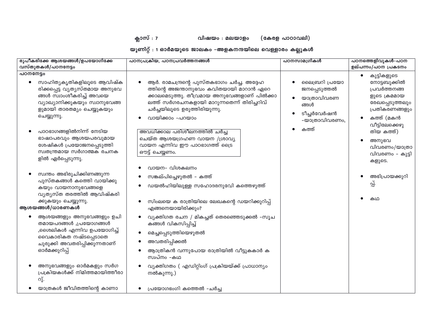ക്ലാസ് : 7

(കേരള പാഠാവലി)

വിഷയം : മലയാളം

യൂണിറ്റ് : 1 ഓർമയുടെ ജാലകം -അളകനന്ദയിലെ വെള്ളാരം കല്ലുകൾ

| രൂപീകരിക്കേ ആശയങ്ങൾ/ഉപയോഗിക്കേ<br>വസ്തുതകൾ/പഠനനേട്ടം                                                                                                                                                                                                                                                                                                                                                                                                                           | പഠനപ്രക്രിയ, പഠനപ്രവർത്തനങ്ങൾ                                                                                                                                                                                                                                                                                                                                                                                                                                                                  | പഠനസാമഗ്രികൾ                                                                                   | പഠനത്തെളിവുകൾ-പഠന<br>ഉല്പന്നം/പഠന പ്രകടനം                                                                                                                                                                                                                             |
|--------------------------------------------------------------------------------------------------------------------------------------------------------------------------------------------------------------------------------------------------------------------------------------------------------------------------------------------------------------------------------------------------------------------------------------------------------------------------------|------------------------------------------------------------------------------------------------------------------------------------------------------------------------------------------------------------------------------------------------------------------------------------------------------------------------------------------------------------------------------------------------------------------------------------------------------------------------------------------------|------------------------------------------------------------------------------------------------|-----------------------------------------------------------------------------------------------------------------------------------------------------------------------------------------------------------------------------------------------------------------------|
| പഠനനേട്ടം<br>സാഹിത്യകൃതികളിലൂടെ ആവിഷ്ക<br>$\bullet$<br>രിക്കപ്പെട്ട വ്യത്യസ്തമായ അനുഭവ<br>ങ്ങൾ സ്വാംശീകരിച്ച് അവയെ<br>വ്യാഖ്യാനിക്കുകയും സ്വാനുഭവങ്ങ<br>ളുമായി താരതമ്യം ചെയ്യുകയും<br>ചെയ്യുന്നു.<br>പാഠഭാഗങ്ങളിൽനിന്ന് നേടിയ<br>ഭാഷാപരവും ആശയപരവുമായ<br>ശേഷികൾ പ്രയോജനപ്പെടുത്തി<br>സ്വതന്ത്രമായ സർഗാത്മക രചനക<br>ളിൽ ഏർപ്പെടുന്നു.<br>സ്വന്തം അഭിരുചിക്കിണങ്ങുന്ന<br>പുസ്തകങ്ങൾ കത്തെി വായിക്കു<br>കയും വായനാനുഭവങ്ങളെ<br>വ്യത്യസ്ത തരത്തിൽ ആവിഷ്കരി<br>ക്കുകയും ചെയ്യുന്നു. | ആർ. രാമചന്ദ്രന്റെ പുസ്തകഭാഗം ചർച്ച. അദ്ദേഹ<br>ത്തിന്റെ അജന്താനുഭവം കവിതയായി മാറാൻ ഏറെ<br>ക്കാലമെടുത്തു. തീവ്രമായ അനുഭവങ്ങളാണ് പിൽക്കാ<br>ലത്ത് സർഗരചനകളായി മാറുന്നതെന്ന് തിരിച്ചറിവ്<br>ചർച്ചയിലൂടെ ഉരുത്തിരിയുന്നു.<br>വായിക്കാം -പറയാം<br>അവധിക്കാല പരിശീലനത്തിൽ ചർച്ച<br>ചെയ്ത ആശയഗ്രഹണ വായന /ശ്രാവ്യ<br>വായന എന്നിവ ഈ പാഠഭാഗത്ത് ട്രൈ<br>ഔട്ട് ചെയ്യണം.<br>വായന– വിശകലനം<br>സങ്കല്പിച്ചെഴുതൽ – കത്ത്<br>ഡയൽഹിയിലുള്ള സഹോദരനുവേി കത്തെഴുത്ത്<br>സിംലയെ ക രാത്രിയിലെ ലേഖകന്റെ ഡയറിക്കുറിപ്പ് | ലൈബ്രറി പ്രയോ<br>ജനപ്പെടുത്തൽ<br>യാത്രാവിവരണ<br>ങ്ങൾ<br>ടീച്ചർവേർഷൻ<br>-യാത്രാവിവരണം,<br>കത്ത് | കുട്ടികളുടെ<br>٠<br>നോട്ടബുക്കിൽ<br>പ്രവർത്തനങ്ങ<br>ളുടെ ക്രമമായ<br>രേഖപ്പെടുത്തലും<br>പ്രതികരണങ്ങളും<br>കത്ത് (മകൻ<br>$\bullet$<br>വീട്ടിലേക്കെഴു<br>തിയ കത്ത്)<br>അനുഭവ<br>$\bullet$<br>വിവരണം/യാത്രാ<br>വിവരണം - കുട്ടി<br>കളുടെ.<br>അഭിപ്രായക്കുറി<br>പ്പ്.<br>കഥ |
| ആശയങ്ങൾ/ധാരണകൾ<br>ആശയങ്ങളും അനുഭവങ്ങളും ഉചി<br>തമായപദങ്ങൾ ,പ്രയോഗങ്ങൾ<br>,ശൈലികൾ എന്നിവ ഉപയോഗിച്ച്<br>വൈകാരികത നഷ്ടപ്പെടാതെ<br>ചുരുക്കി അവതരിപ്പിക്കുന്നതാണ്<br>ഓർമക്കുറിപ്പ്<br>അനുഭവങ്ങളും ഓർമകളും സർഗ<br>പ്രക്രിയകൾക്ക് നിമിത്തമായിത്തീരാ<br>റു്.<br>യാത്രകൾ ജീവിതത്തിന്റെ കാണാ                                                                                                                                                                                             | എങ്ങനെയായിരിക്കും?<br>വ്യക്തിഗത രചന / മികച്ചത് തെരഞ്ഞെടുക്കൽ -സൂച<br>കങ്ങൾ വികസിപ്പിച്ച്<br>മെച്ചപ്പെടുത്തിയെഴുതൽ<br>അവതരിപ്പിക്കൽ<br>ആാത്രികൻ വന്നുപോയ രാത്രിയിൽ വീട്ടുകകാർ ക<br>സ്വപ്നം -കഥ<br>വ്യക്തിഗതം ( എഡിറ്റിംഗ് പ്രക്രിയയ്ക്ക് പ്രാധാന്യം<br>$\bullet$<br>നൽകുന്നു.)<br>പ്രയോഗഭംഗി കത്തെൽ -ചർച്ച                                                                                                                                                                                      |                                                                                                |                                                                                                                                                                                                                                                                       |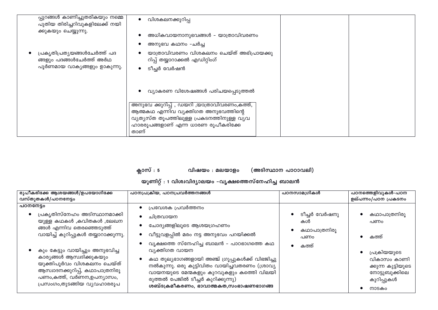| പ്പുറങ്ങൾ കാണിച്ചുതരികയും നമ്മെ<br>പുതിയ തിരിച്ചറിവുകളിലേക്ക് നയി                       | വിശകലനക്കുറിപ്പ                                                                                                                                                                    |
|-----------------------------------------------------------------------------------------|------------------------------------------------------------------------------------------------------------------------------------------------------------------------------------|
| ക്കുകയും ചെയ്യുന്നു.                                                                    | അധികവായനാനുഭവങ്ങൾ - യാത്രാവിവരണം<br>അനുഭവ കഥനം -ചർച്ച                                                                                                                              |
| പ്രകൃതിപ്രതൃയങ്ങൾചേർത്ത് പദ<br>ങ്ങളും പദങ്ങൾചേർത്ത് അർഥ<br>പൂർണമായ വാകൃങ്ങളും ഉാകുന്നു. | യാത്രാവിവരണം വിശകലനം ചെയ്ത് അഭിപ്രായക്കു<br>റിപ്പ് തയ്യാറാക്കൽ എഡിറ്റിംഗ്<br>ടീച്ചർ വേർഷൻ                                                                                          |
|                                                                                         | വ്യാകരണ വിശേഷങ്ങൾ പരിചയപ്പെടുത്തൽ                                                                                                                                                  |
|                                                                                         | അനുഭവ ക്കുറിപ്പ് , ഡയറി ,യാത്രാവിവരണം,കത്ത്,<br>ആത്മകഥ എന്നിവ വ്യക്തിഗത അനുഭവത്തിന്റെ<br>വ്യത്യസ്ത തൂപത്തിലുള്ള പ്രകടനത്തിനുള്ള വൃവ<br>ഹാരരൂപങ്ങളാണ് എന്ന ധാരണ രൂപീകരിക്കേ<br>താണ് |

ക്ലാസ് : 5

(അടിസ്ഥാന പാഠാവലി) വിഷയം : മലയാളം

യൂണിറ്റ് : 1 വിശ്വവിദ്യാലയം –വൃക്ഷത്തെസ്നേഹിച്ച ബാലൻ

| രൂപീകരിക്കേ ആശയങ്ങൾ/ഉപയോഗിക്കേ                                                                                                                                                                                                   | പഠനപ്രക്രിയ, പഠനപ്രവർത്തനങ്ങൾ                                                                                                                                                                                                                                                                                                          | പഠനസാമഗ്രികൾ                        | പഠനത്തെളിവുകൾ-പഠന                                                                                   |
|----------------------------------------------------------------------------------------------------------------------------------------------------------------------------------------------------------------------------------|----------------------------------------------------------------------------------------------------------------------------------------------------------------------------------------------------------------------------------------------------------------------------------------------------------------------------------------|-------------------------------------|-----------------------------------------------------------------------------------------------------|
| വസ്തുതകൾ/പഠനനേട്ടം                                                                                                                                                                                                               |                                                                                                                                                                                                                                                                                                                                        |                                     | ഉല്പന്നം/പഠന പ്രകടനം                                                                                |
| പഠനനേട്ടം<br>പ്രകൃതിസ്നേഹം അടിസ്ഥാനമാക്കി<br>യുള്ള കഥകൾ ,കവിതകൾ ,ലേഖന<br>ങ്ങൾ എന്നിവ തെരഞ്ഞെടുത്ത്                                                                                                                               | പ്രവേശക പ്രവർത്തനം<br>ചിത്രവായന<br>ചോദ്യങ്ങളിലൂടെ ആശയഗ്രഹണം                                                                                                                                                                                                                                                                            | ടീച്ചർ വേർഷനു<br>കൾ<br>കഥാപാത്രനിരൂ | കഥാപാത്രനിരൂ<br>പണം                                                                                 |
| വായിച്ച് കുറിപ്പുകൾ തയ്യാറാക്കുന്നു.<br>കും കേട്ടും വായിച്ചും അനുഭവിച്ച<br>കാര്യങ്ങൾ ആസ്വദിക്കുകയും<br>യുക്തിപൂർവം വിശകലനം ചെയ്ത്<br>ആസ്വാദനക്കുറിപ്പ്, കഥാപാത്രനിരൂ<br>പണം,കത്ത്, വർണന,ഉപന്യാസം,<br>പ്രസംഗം,തുടങ്ങിയ വ്യവഹാരരൂപ | വീട്ടുവളപ്പിൽ മരം നട്ട അനുഭവം പറയിക്കൽ<br>വൃക്ഷത്തെ സ്നേഹിച്ച ബാലൻ – പാഠഭാഗത്തെ കഥ<br>വ്യക്തിഗത വായന<br>കഥ തുല്യഭാഗങ്ങളായി അഞ്ച് ഗ്രൂപ്പുകൾക്ക് വിഭജിച്ചു<br>നൽകുന്നു. ഒരു കുട്ടിവിതം വായിച്ചവതരണം (ശ്രാവ്യ<br>വായനയുടെ മേന്മകളും കുറവുകളും കത്തിെ വിലയി<br>രുത്തൽ പേജിൽ ടീച്ചർ കുറിക്കുന്നു)<br>ശബ്ദക്രമീകരണം, ഭാവാത്മകത,സംഭാഷണഭാഗങ്ങ | പണം<br>കത്ത്                        | കത്ത്<br>പ്രക്രിയയുടെ<br>വികാസം കാണി<br>ക്കുന്ന കുട്ടിയുടെ<br>നോട്ടുബുക്കിലെ<br>കുറിപ്പുകൾ<br>നാടകം |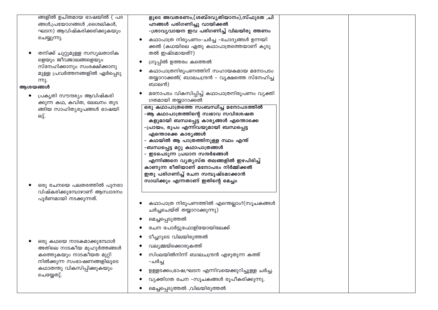| ഹ്നങ്ങൾ പരിഗണിച്ചു വായിക്കൽ<br>ങ്ങൾ,പ്രയോഗങ്ങൾ ,ശൈലികൾ,<br>ഘടന) ആവിഷ്കരിക്കരിക്കുകയും<br>-ശ്രാവ്യവായന ഇവ പരിഗണിച്ച് വിലയിരു ത്തണം<br>ചെയ്യുന്നു.<br>കഥാപാത്ര നിരൂപണം-ചർച്ച -ചോദ്യങ്ങൾ ഉന്നയി<br>ക്കൽ (കഥയിലെ ഏതു കഥാപാത്രത്തെയാണ് കൂടു<br>തൽ ഇഷ്ടമായത്?)<br>തനിക്ക് ചുറ്റുമുള്ള സസ്യലതാദിക<br>ളെയും ജീവജാലങ്ങളെയും<br>ഗ്രൂപ്പിൽ ഉത്തരം കത്തെൽ<br>സ്നേഹിക്കാനും സംരക്ഷിക്കാനു<br>കഥാപാത്രനിരൂപണത്തിന് സഹായകമായ മനോപടം<br>മുള്ള പ്രവർത്തനങ്ങളിൽ ഏർപ്പെടു<br>തയ്യാറാക്കൽ( ബാലചന്ദ്രൻ – വൃക്ഷത്തെ സ്നേഹിച്ച<br>ന്നു.<br>ബാലൻ)<br>ആശയങ്ങൾ<br>മനോപടം വികസിപ്പിച്ച് കഥാപാത്രനിരൂപണം വ്യക്തി<br>പ്രകൃതി സൗന്ദര്യം ആവിഷ്കരി<br>ഗതമായി തയ്യാറാക്കൽ<br>ക്കുന്ന കഥ, കവിത, ലേഖനം തുട<br>ഒരു കഥാപാത്രത്തെ സംബന്ധിച്ച മനോപടത്തിൽ<br>ങ്ങിയ സാഹിത്യരൂപങ്ങൾ ഭാഷയി<br>-ആ കഥാപാത്രത്തിന്റെ സ്വഭാവ സവിശേഷത<br>ലു്.<br>കളുമായി ബന്ധപ്പെട്ട കാര്യങ്ങൾ എന്തൊക്കെ<br>–പ്രായം, രൂപം എന്നിവയുമായി ബന്ധപ്പെട്ട<br>എന്തൊക്കെ കാര്യങ്ങൾ<br>– കഥയിൽ ആ പാത്രത്തിനുള്ള സ്ഥം എന്ത്<br>–ബന്ധപ്പെട്ട മറ്റു കഥാപാത്രങ്ങൾ<br>– ഇടപെടുന്ന പ്രധാന സന്ദർഭങ് <mark>ങ</mark> ൾ<br>എന്നിങ്ങനെ വൃതൃസ്ത തലങ്ങളിൽ ഇഴപിരിച്ച്<br>കാണുന്ന രീതിയാണ് മനോപടം നിർമ്മിക്കൽ<br>ഇതു പരിഗണിച്ച് രചന സമ്പുഷ്ടമാക്കാൻ<br>സാധിക്കും എന്നതാണ് ഇതിന്റെ മെച്ചം<br>ഒരു രചനയെ പലതരത്തിൽ പുനരാ<br>വിഷ്കരിക്കുമ്പോഴാണ് ആസ്വാദനം<br>പൂർണമായി നടക്കുന്നത്.<br>കഥാപാത്ര നിരൂപണത്തിൽ എന്തെല്ലാം?(സൂചകങ്ങൾ<br>ചർച്ചചെയ്ത് തയ്യാറാക്കുന്നു)<br>മെച്ചപ്പെടുത്തൽ<br>രചന പോർട്ടുഫോളിയോയിലേക്ക്<br>ടീച്ചറുടെ വിലയിരുത്തൽ<br>ഒരു കഥയെ നാടകമാക്കുമ്പോൾ<br>വല്യമ്മയ്ക്കൊരുകത്ത്<br>അതിലെ നാടകീയ മുഹുർത്തങ്ങൾ<br>സിംലയിൽനിന്ന് ബാലചന്ദ്രൻ എഴുതുന്ന കത്ത്<br>കത്തുകയും നാടകീയത മുറ്റി<br>നിൽക്കുന്ന സംഭാഷണങ്ങളിലൂടെ<br>-ചർച്ച<br>കഥാതന്തു വികസിപ്പിക്കുകയും<br>ഉള്ളടക്കം,ഭാഷ,ഘടന എന്നിവയെക്കുറിച്ചുള്ള ചർച്ച.<br>ചെയ്യേതു്. | ങ്ങളിൽ ഉചിതമായ ഭാഷയിൽ ( പദ | ളുടെ അവതരണം,(ശബ്ദവൃതിയാനം),സ്ഫുടത ,ചി    |  |
|-------------------------------------------------------------------------------------------------------------------------------------------------------------------------------------------------------------------------------------------------------------------------------------------------------------------------------------------------------------------------------------------------------------------------------------------------------------------------------------------------------------------------------------------------------------------------------------------------------------------------------------------------------------------------------------------------------------------------------------------------------------------------------------------------------------------------------------------------------------------------------------------------------------------------------------------------------------------------------------------------------------------------------------------------------------------------------------------------------------------------------------------------------------------------------------------------------------------------------------------------------------------------------------------------------------------------------------------------------------------------------------------------------------------------------------------------------------------------------------------------------------------------------------------------------------------------------------------------------------------------------------------------------------------------------------------------------------------------------------------|----------------------------|------------------------------------------|--|
|                                                                                                                                                                                                                                                                                                                                                                                                                                                                                                                                                                                                                                                                                                                                                                                                                                                                                                                                                                                                                                                                                                                                                                                                                                                                                                                                                                                                                                                                                                                                                                                                                                                                                                                                           |                            |                                          |  |
|                                                                                                                                                                                                                                                                                                                                                                                                                                                                                                                                                                                                                                                                                                                                                                                                                                                                                                                                                                                                                                                                                                                                                                                                                                                                                                                                                                                                                                                                                                                                                                                                                                                                                                                                           |                            |                                          |  |
|                                                                                                                                                                                                                                                                                                                                                                                                                                                                                                                                                                                                                                                                                                                                                                                                                                                                                                                                                                                                                                                                                                                                                                                                                                                                                                                                                                                                                                                                                                                                                                                                                                                                                                                                           |                            |                                          |  |
|                                                                                                                                                                                                                                                                                                                                                                                                                                                                                                                                                                                                                                                                                                                                                                                                                                                                                                                                                                                                                                                                                                                                                                                                                                                                                                                                                                                                                                                                                                                                                                                                                                                                                                                                           |                            |                                          |  |
|                                                                                                                                                                                                                                                                                                                                                                                                                                                                                                                                                                                                                                                                                                                                                                                                                                                                                                                                                                                                                                                                                                                                                                                                                                                                                                                                                                                                                                                                                                                                                                                                                                                                                                                                           |                            |                                          |  |
|                                                                                                                                                                                                                                                                                                                                                                                                                                                                                                                                                                                                                                                                                                                                                                                                                                                                                                                                                                                                                                                                                                                                                                                                                                                                                                                                                                                                                                                                                                                                                                                                                                                                                                                                           |                            |                                          |  |
|                                                                                                                                                                                                                                                                                                                                                                                                                                                                                                                                                                                                                                                                                                                                                                                                                                                                                                                                                                                                                                                                                                                                                                                                                                                                                                                                                                                                                                                                                                                                                                                                                                                                                                                                           |                            |                                          |  |
|                                                                                                                                                                                                                                                                                                                                                                                                                                                                                                                                                                                                                                                                                                                                                                                                                                                                                                                                                                                                                                                                                                                                                                                                                                                                                                                                                                                                                                                                                                                                                                                                                                                                                                                                           |                            |                                          |  |
|                                                                                                                                                                                                                                                                                                                                                                                                                                                                                                                                                                                                                                                                                                                                                                                                                                                                                                                                                                                                                                                                                                                                                                                                                                                                                                                                                                                                                                                                                                                                                                                                                                                                                                                                           |                            |                                          |  |
|                                                                                                                                                                                                                                                                                                                                                                                                                                                                                                                                                                                                                                                                                                                                                                                                                                                                                                                                                                                                                                                                                                                                                                                                                                                                                                                                                                                                                                                                                                                                                                                                                                                                                                                                           |                            |                                          |  |
|                                                                                                                                                                                                                                                                                                                                                                                                                                                                                                                                                                                                                                                                                                                                                                                                                                                                                                                                                                                                                                                                                                                                                                                                                                                                                                                                                                                                                                                                                                                                                                                                                                                                                                                                           |                            |                                          |  |
|                                                                                                                                                                                                                                                                                                                                                                                                                                                                                                                                                                                                                                                                                                                                                                                                                                                                                                                                                                                                                                                                                                                                                                                                                                                                                                                                                                                                                                                                                                                                                                                                                                                                                                                                           |                            |                                          |  |
|                                                                                                                                                                                                                                                                                                                                                                                                                                                                                                                                                                                                                                                                                                                                                                                                                                                                                                                                                                                                                                                                                                                                                                                                                                                                                                                                                                                                                                                                                                                                                                                                                                                                                                                                           |                            |                                          |  |
|                                                                                                                                                                                                                                                                                                                                                                                                                                                                                                                                                                                                                                                                                                                                                                                                                                                                                                                                                                                                                                                                                                                                                                                                                                                                                                                                                                                                                                                                                                                                                                                                                                                                                                                                           |                            |                                          |  |
|                                                                                                                                                                                                                                                                                                                                                                                                                                                                                                                                                                                                                                                                                                                                                                                                                                                                                                                                                                                                                                                                                                                                                                                                                                                                                                                                                                                                                                                                                                                                                                                                                                                                                                                                           |                            |                                          |  |
|                                                                                                                                                                                                                                                                                                                                                                                                                                                                                                                                                                                                                                                                                                                                                                                                                                                                                                                                                                                                                                                                                                                                                                                                                                                                                                                                                                                                                                                                                                                                                                                                                                                                                                                                           |                            |                                          |  |
|                                                                                                                                                                                                                                                                                                                                                                                                                                                                                                                                                                                                                                                                                                                                                                                                                                                                                                                                                                                                                                                                                                                                                                                                                                                                                                                                                                                                                                                                                                                                                                                                                                                                                                                                           |                            |                                          |  |
|                                                                                                                                                                                                                                                                                                                                                                                                                                                                                                                                                                                                                                                                                                                                                                                                                                                                                                                                                                                                                                                                                                                                                                                                                                                                                                                                                                                                                                                                                                                                                                                                                                                                                                                                           |                            |                                          |  |
|                                                                                                                                                                                                                                                                                                                                                                                                                                                                                                                                                                                                                                                                                                                                                                                                                                                                                                                                                                                                                                                                                                                                                                                                                                                                                                                                                                                                                                                                                                                                                                                                                                                                                                                                           |                            |                                          |  |
|                                                                                                                                                                                                                                                                                                                                                                                                                                                                                                                                                                                                                                                                                                                                                                                                                                                                                                                                                                                                                                                                                                                                                                                                                                                                                                                                                                                                                                                                                                                                                                                                                                                                                                                                           |                            |                                          |  |
|                                                                                                                                                                                                                                                                                                                                                                                                                                                                                                                                                                                                                                                                                                                                                                                                                                                                                                                                                                                                                                                                                                                                                                                                                                                                                                                                                                                                                                                                                                                                                                                                                                                                                                                                           |                            |                                          |  |
|                                                                                                                                                                                                                                                                                                                                                                                                                                                                                                                                                                                                                                                                                                                                                                                                                                                                                                                                                                                                                                                                                                                                                                                                                                                                                                                                                                                                                                                                                                                                                                                                                                                                                                                                           |                            |                                          |  |
|                                                                                                                                                                                                                                                                                                                                                                                                                                                                                                                                                                                                                                                                                                                                                                                                                                                                                                                                                                                                                                                                                                                                                                                                                                                                                                                                                                                                                                                                                                                                                                                                                                                                                                                                           |                            |                                          |  |
|                                                                                                                                                                                                                                                                                                                                                                                                                                                                                                                                                                                                                                                                                                                                                                                                                                                                                                                                                                                                                                                                                                                                                                                                                                                                                                                                                                                                                                                                                                                                                                                                                                                                                                                                           |                            | വ്യക്തിഗത രചന -സൂചകങ്ങൾ രൂപീകരിക്കുന്നു. |  |
| മെച്ചപ്പെടുത്തൽ ,വിലയിരുത്തൽ                                                                                                                                                                                                                                                                                                                                                                                                                                                                                                                                                                                                                                                                                                                                                                                                                                                                                                                                                                                                                                                                                                                                                                                                                                                                                                                                                                                                                                                                                                                                                                                                                                                                                                              |                            |                                          |  |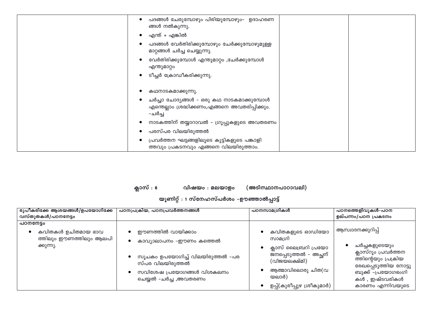| പദങ്ങൾ ചേരുമ്പോഴും പിരിയുമ്പോഴും– ഉദാഹരണ<br>ങ്ങൾ നൽകുന്നു.                                            |  |
|-------------------------------------------------------------------------------------------------------|--|
| എന്ത് + എങ്കിൽ<br>€                                                                                   |  |
| പദങ്ങൾ വേർതിരിക്കുമ്പോഴും ചേർക്കുമ്പോഴുമുള്ള<br>മാറ്റങ്ങൾ ചർച്ച ചെയ്യുന്നു.                           |  |
| വേർതിരിക്കുമ്പോൾ എന്തുമാറ്റം ,ചേർക്കുമ്പോൾ<br>എന്തുമാറ്റം                                             |  |
| ടീച്ചർ ക്രോഡീകരിക്കുന്നു.                                                                             |  |
| കഥനാടകമാക്കുന്നു.                                                                                     |  |
| ചർച്ചാ ചോദ്യങ്ങൾ – ഒരു കഥ നാടകമാക്കുമ്പോൾ<br>എന്തെല്ലാം ശ്രദ്ധിക്കണം,എങ്ങനെ അവതരിപ്പിക്കും.<br>-ചർച്ച |  |
| നാടകത്തിന് തയ്യാറാവൽ - ഗ്രൂപ്പുകളുടെ അവതരണം                                                           |  |
| പരസ്പര വിലയിരുത്തൽ                                                                                    |  |
| പ്രവർത്തന ഘട്ടങ്ങളിലൂടെ കുട്ടികളുടെ പങ്കാളി<br>€<br>ത്തവും പ്രകടനവും എങ്ങനെ വിലയിരുത്താം.             |  |

ക്ലാസ് : 6 വിഷയം : മലയാളം (അടിസ്ഥാനപാഠാവലി)

| രൂപീകരിക്കേ ആശയങ്ങൾ/ഉപയോഗിക്കേ<br>വസ്തുതകൾ/പഠനനേട്ടം                   | പഠനപ്രക്രിയ, പഠനപ്രവർത്തനങ്ങൾ                                                                                                                              | പഠനസാമഗ്രികൾ                                                                                                                                             | പഠനത്തെളിവുകൾ-പഠന<br>ഉല്പന്നം/പഠന പ്രകടനം                                                                                                                              |
|------------------------------------------------------------------------|------------------------------------------------------------------------------------------------------------------------------------------------------------|----------------------------------------------------------------------------------------------------------------------------------------------------------|------------------------------------------------------------------------------------------------------------------------------------------------------------------------|
| പഠനനേട്ടം<br>കവിതകൾ ഉചിതമായ ഭാവ<br>ത്തിലും ഈണത്തിലും ആലപി<br>ക്കുന്നു. | ഈണത്തിൽ വായിക്കാം<br>കാവ്യാലാപനം –ഈണം കത്തെൽ<br>സൂചകം ഉപയോഗിച്ച് വിലയിരുത്തൽ –പര<br>സ്പര വിലയിരുത്തൽ<br>സവിശേഷ പ്രയോഗങ്ങൾ വിശകലനം<br>ചെയ്യൽ -ചർച്ച ,അവതരണം | കവിതകളുടെ ഓഡിയോ<br>സാമഗ്രി<br>ക്ലാസ് ലൈബ്രറി പ്രയോ<br>ജനപ്പെടുത്തൽ - അച്ഛന്<br>(വിജയലക്ഷ്മി)<br>ആത്മാവിലൊരു ചിത(വ<br>യലാർ)<br>ഉപ്പ്(കുരീപ്പുഴ ശ്രീകുമാർ) | ആസ്വാദനക്കുറിപ്പ്<br>ചർച്ചകളുടെയും<br>ക്ലാസ്റൂം പ്രവർത്തന<br>ത്തിന്റെയും പ്രക്രിയ<br>രേഖപ്പെടുത്തിയ നോട്ടു<br>ബുക്ക് –പ്രയോഗഭംഗി<br>കൾ , ഇഷ്ടവരികൾ<br>കാരണം എന്നിവയുടെ |

### യൂണിറ്റ് : 1 സ്നേഹസ്പർശം –ഊഞ്ഞാൽപ്പാട്ട്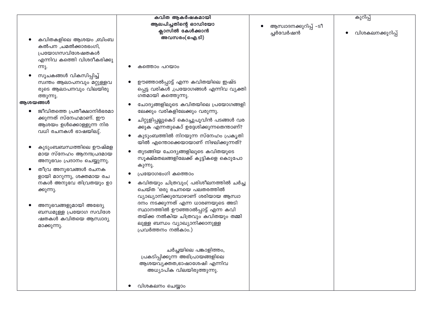|         |                                                                                 | കവിത ആകർഷകമായി                                                            |                       | കുറിപ്പ്         |
|---------|---------------------------------------------------------------------------------|---------------------------------------------------------------------------|-----------------------|------------------|
|         |                                                                                 | ആലപിച്ചതിന്റെ ഓഡിയോ                                                       | ആസ്വാദനക്കുറിപ്പ് -ടീ |                  |
|         |                                                                                 | ക്ലാസിൽ കേൾക്കാൻ                                                          | ച്ചർവേർഷൻ             | വിശകലനക്കുറിപ്പ് |
|         | കവിതകളിലെ ആശയം ,ബിംബ                                                            | അവസരം(ഐ.ടി)                                                               |                       |                  |
|         | കൽപന ,ചമൽക്കാരഭംഗി,                                                             |                                                                           |                       |                  |
|         | പ്രയോഗസവിശേഷതകൾ                                                                 |                                                                           |                       |                  |
|         | എന്നിവ കത്തെി വിശദീകരിക്കു                                                      |                                                                           |                       |                  |
|         | ന്നു.                                                                           | കത്തൊം പറയാം                                                              |                       |                  |
|         | സൂചകങ്ങൾ വികസിപ്പിച്ച്                                                          |                                                                           |                       |                  |
|         | സ്വന്തം ആലാപനവും മറ്റുള്ളവ                                                      | ഊഞ്ഞാൽപ്പാട്ട് എന്ന കവിതയിലെ ഇഷ്ട                                         |                       |                  |
|         | രുടെ ആലാപനവും വിലയിരു                                                           | പ്പെട്ട വരികൾ ,പ്രയോഗങ്ങൾ എന്നിവ വ്യക്തി                                  |                       |                  |
|         | ത്തുന്നു.                                                                       | ഗതമായി കത്തെുന്നു.                                                        |                       |                  |
| ആശയങ്ങൾ |                                                                                 |                                                                           |                       |                  |
|         | ജീവിതത്തെ പ്രതീക്ഷാനിർഭരമാ                                                      | ചോദ്യങ്ങളിലൂടെ കവിതയിലെ പ്രയോഗങ്ങളി                                       |                       |                  |
|         | ക്കുന്നത് സ്നേഹമാണ്. ഈ                                                          | ലേക്കും വരികളിലേക്കും വരുന്നു.                                            |                       |                  |
|         | ആശയം ഉൾക്കൊള്ളുന്ന നിര                                                          | ചിറ്റുളിപ്പല്ലുകൊ് കൊച്ചുപൂവിൻ പടങ്ങൾ വര                                  |                       |                  |
|         | വധി രചനകൾ ഭാഷയിലു്.                                                             | ക്കുക എന്നതുകൊ് ഉദ്ദേശിക്കുന്നതെന്താണ്?                                   |                       |                  |
|         |                                                                                 | കുടുംബത്തിൽ നിറയുന്ന സ്നേഹം പ്രകൃതി                                       |                       |                  |
|         | കുടുംബബന്ധത്തിലെ ഊഷ്മള<br>മായ സ്നേഹം ആനന്ദപ്രദമായ<br>അനുഭവം പ്രദാനം ചെയ്യുന്നു. | യിൽ എന്തൊക്കെയായാണ് നിഴലിക്കുന്നത്?                                       |                       |                  |
|         |                                                                                 | തുടങ്ങിയ ചോദ്യങ്ങളിലൂടെ കവിതയുടെ                                          |                       |                  |
|         |                                                                                 | സൂക്ഷ്മതലങ്ങളിലേക്ക് കുട്ടികളെ കൊുപോ                                      |                       |                  |
|         |                                                                                 | കുന്നു.                                                                   |                       |                  |
|         | തീവ്ര അനുഭവങ്ങൾ രചനക                                                            | പ്രയോഗഭംഗി കത്തൊം                                                         |                       |                  |
|         | ളായി മാറുന്നു, ശക്തമായ രച                                                       |                                                                           |                       |                  |
|         | നകൾ അനുഭവ തിവ്രതയും ഉാ                                                          | കവിതയും ചിത്രവും( പരിശീലനത്തിൽ ചർച്ച                                      |                       |                  |
|         | ക്കുന്നു.                                                                       | ചെയ്ത 'ഒരു രചനയെ പലതരത്തിൽ                                                |                       |                  |
|         |                                                                                 | വ്യാഖ്യാനിക്കുമ്പോഴാണ് ശരിയായ ആസ്വാ                                       |                       |                  |
|         | അനുഭവങ്ങളുമായി അഭേദ്യ                                                           | ദനം നടക്കുന്നത് എന്ന ധാരണയുടെ അടി                                         |                       |                  |
|         | ബന്ധമുള്ള പ്രയോഗ സവിശേ                                                          | സ്ഥാനത്തിൽ ഊഞ്ഞാൽപ്പാട്ട് എന്ന കവി<br>തയ്ക്ക നൽകിയ ചിത്രവും കവിതയും തമ്മി |                       |                  |
|         | ഷതകൾ കവിതയെ ആസ്വാദ്യ                                                            | ലുള്ള ബന്ധം വ്യാഖ്യാനിക്കാനുള്ള                                           |                       |                  |
|         | മാക്കുന്നു.                                                                     | പ്രവർത്തനം നൽകാം.)                                                        |                       |                  |
|         |                                                                                 |                                                                           |                       |                  |
|         |                                                                                 |                                                                           |                       |                  |
|         |                                                                                 | ചർച്ചയിലെ പങ്കാളിത്തം,                                                    |                       |                  |
|         |                                                                                 | പ്രകടിപ്പിക്കുന്ന അഭിപ്രായങ്ങളിലെ                                         |                       |                  |
|         |                                                                                 | ആശയവ്യക്തത,ഭാഷാശേഷി എന്നിവ                                                |                       |                  |
|         |                                                                                 | അധ്യാപിക വിലയിരുത്തുന്നു.                                                 |                       |                  |
|         |                                                                                 |                                                                           |                       |                  |
|         |                                                                                 | വിശകലനം ചെയ്യാം                                                           |                       |                  |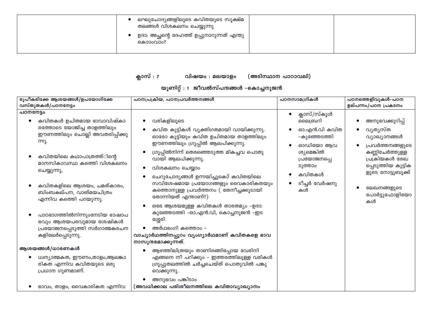| ലഘുചോദ്യങ്ങളിലൂടെ കവിതയുടെ സൂക്ഷ്മ<br>തലങ്ങൾ വിശകലനം ചെയ്യുന്നു<br>ഉദാ: അച്ഛന്റെ ദേഹത്ത് ഉപ്പുനാറുന്നത് എന്തു<br>കൊാംവാം? |  |  |
|---------------------------------------------------------------------------------------------------------------------------|--|--|
|---------------------------------------------------------------------------------------------------------------------------|--|--|

#### ക്ലാസ് : 7 വിഷയം : മലയാളം (അടിസ്ഥാന പാഠാവലി)

#### യൂണിറ്റ് : 1 ജീവൽസ്പന്ദങ്ങൾ –കൊച്ചനുജൻ

| രൂപീകരിക്കേ ആശയങ്ങൾ/ഉപയോഗിക്കേ<br>വസ്തുതകൾ/പഠനനേട്ടം                                                          | പഠനപ്രക്രിയ, പഠനപ്രവർത്തനങ്ങൾ                                                                                                                                         | പഠനസാമഗ്രികൾ                                     | പഠനത്തെളിവുകൾ-പഠന<br>ഉല്പന്നം/പഠന പ്രകടനം                                                         |
|---------------------------------------------------------------------------------------------------------------|-----------------------------------------------------------------------------------------------------------------------------------------------------------------------|--------------------------------------------------|---------------------------------------------------------------------------------------------------|
| പഠനനേട്ടം<br>കവിതകൾ ഉചിതമായ ഭാവാവിഷ്കാ                                                                        | വരികളിലൂടെ                                                                                                                                                            | ക്ലാസ്/സ്കൂൾ<br>ലൈബ്രറി                          | അനുഭവക്കുറിപ്പ്                                                                                   |
| രത്തോടെ യോജിച്ച താളത്തിലും<br>ഈണത്തിലും ചൊല്ലി അവതരിപ്പിക്കു<br>ന്നു.                                         | കവിത കുട്ടികൾ വ്യക്തിഗതമായി വായിക്കുന്നു.<br>ഓരോ കുട്ടിയും കവിത ഉചിതമായ താളത്തിലും                                                                                    | ഓ.എൻ.വി കവിത<br>-കുഞ്ഞേടത്തി                     | വൃതൃസ്ത<br>വ്യാഖ്യാനങ്ങൾ                                                                          |
| കവിതയിലെ കഥാപാത്രത്ത്ിന്റെ<br>മാനസികാവസ്ഥ കത്തിെ വിശകലനം<br>ചെയ്യുന്നു,                                       | ഈണത്തിലും ഗ്രൂപ്പിൽ ആലപിക്കുന്നു.<br>ഗ്രൂപ്പിൽനിന്ന് തെരഞ്ഞെടുത്ത മികച്ചവ പൊതു<br>വായി ആലപിക്കുന്നു.<br>വിശകലനം ചെയ്യാം                                               | ഓഡിയോ ആവ<br>ശ്യമെങ്കിൽ<br>പ്രയോജനപ്പെ<br>ടുത്താം | പ്രവർത്തനങ്ങളുടെ<br>കണ്ണിചേർത്തുള്ള<br>പ്രക്രിയകൾ രേഖ<br>പ്പെടുത്തിയ കുട്ടിക<br>ളുടെ നോട്ടുബുക്ക് |
| കവിതകളിലെ ആശയം, ചമത്കാരം,<br>ബിംബകല്പന, വാങ്മയചിത്രം<br>എന്നിവ കത്തിെ പറയുന്നു.                               | ചെറുചോദ്യങ്ങൾ ഉന്നയിച്ചുകൊ് കവിതയിലെ<br>സവിശേഷമായ പ്രയോഗങ്ങളും വൈകാരികതയും<br>കത്തൊനുള്ള പ്രവർത്തനം ( തേനീച്ചക്കൂടായി<br>തോന്നിയത് എന്താണ്?)                          | കവിതകൾ<br>ടീച്ചർ വേർഷനു<br>കൾ                    | ലേഖനങ്ങളുടെ<br>പോർട്ടുഫോളിയോ<br>കൾ                                                                |
| പാഠഭാഗത്തിൽനിന്നുംനേടിയ ഭാഷാപ<br>രവും ആശയപരവുമായ ശേഷികൾ<br>പ്രയോജനപ്പെടുത്തി സർഗാത്മകരചന<br>കളിലേർപ്പെടുന്നു. | ഒരേ ആശയമുള്ള കവിതകൾ താരതമ്യം -ഉദാ:<br>കുഞ്ഞേടത്തി -ഓ.എൻ.വി, കൊച്ചനുജൻ -ഇട<br>ശ്ശേരി<br>അർഥഭംഗി കത്തൊം –<br>വാച്യാർഥത്തിനപ്പുറം വ്യംഗ്യാർഥമാണ് കവിതകളെ ഭാവ             |                                                  |                                                                                                   |
| ആശയങ്ങൾ/ധാരണകൾ<br>ധ്വന്യാത്മകത, ഈണം,താളം,ആലങ്കാ<br>രികത എന്നിവ കവിതയുടെ ഒരു<br>പ്രധാന ഗുണമാണ്.                | നാസുന്ദരമാക്കുന്നത്.<br>ആഴത്തിലിത്രയും താണിരങ്ങിപ്പോയ വേരിനി<br>എങ്ങനെ നീ പറിക്കും – ഇത്തരത്തിലുള്ള വരികൾ<br>ഗ്രൂപ്പുതലത്തിൽ ചർച്ചചെയ്ത് പൊതുവിൽ പങ്കു<br>വെക്കുന്നു. |                                                  |                                                                                                   |
| ഭാവം, താളം, വൈകാരികത എന്നിവ                                                                                   | അനുഭവം പങ്കിടാം<br>(അവധിക്കാല പരിശീലനത്തിലെ കവിതാവ്യാഖ്യാനം                                                                                                           |                                                  |                                                                                                   |